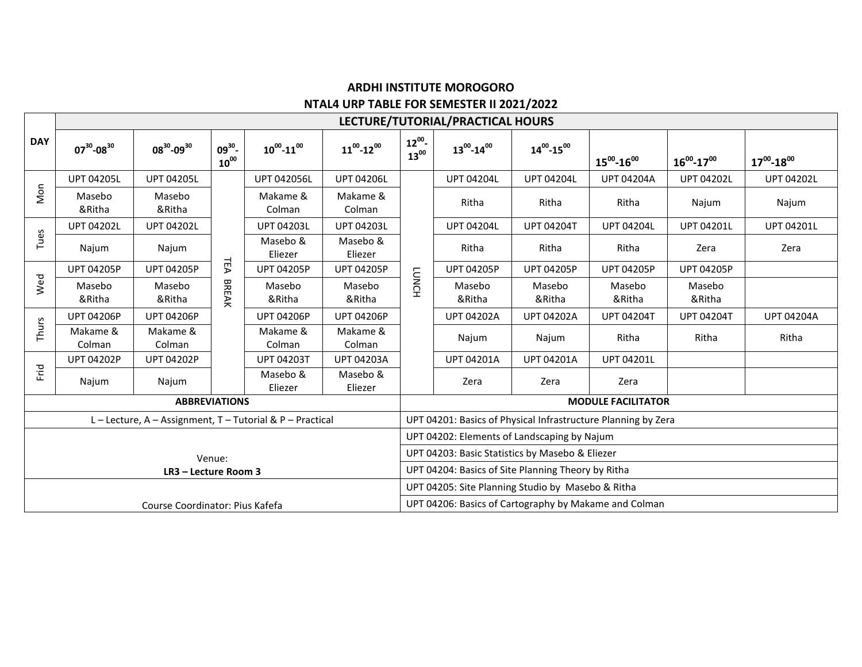## **ARDHI INSTITUTE MOROGORO NTAL4 URP TABLE FOR SEMESTER II 2021/2022**

|                                                   | LECTURE/TUTORIAL/PRACTICAL HOURS |                     |                          |                     |                     |                        |                                                               |                     |                     |                     |                     |  |  |  |
|---------------------------------------------------|----------------------------------|---------------------|--------------------------|---------------------|---------------------|------------------------|---------------------------------------------------------------|---------------------|---------------------|---------------------|---------------------|--|--|--|
| <b>DAY</b>                                        | $07^{30} - 08^{30}$              | $08^{30} - 09^{30}$ | $09^{30}$ -<br>$10^{00}$ | $10^{00} - 11^{00}$ | $11^{00} - 12^{00}$ | $12^{00}$<br>$13^{00}$ | $13^{00} - 14^{00}$                                           | $14^{00} - 15^{00}$ | $15^{00} - 16^{00}$ | $16^{00} - 17^{00}$ | $17^{00} - 18^{00}$ |  |  |  |
| Non                                               | <b>UPT 04205L</b>                | <b>UPT 04205L</b>   |                          | <b>UPT 042056L</b>  | <b>UPT 04206L</b>   |                        | <b>UPT 04204L</b>                                             | <b>UPT 04204L</b>   | <b>UPT 04204A</b>   | <b>UPT 04202L</b>   | <b>UPT 04202L</b>   |  |  |  |
|                                                   | Masebo<br>&Ritha                 | Masebo<br>&Ritha    |                          | Makame &<br>Colman  | Makame &<br>Colman  | <b>LUNCH</b>           | Ritha                                                         | Ritha               | Ritha               | Najum               | Najum               |  |  |  |
| Tues                                              | <b>UPT 04202L</b>                | <b>UPT 04202L</b>   |                          | <b>UPT 04203L</b>   | <b>UPT 04203L</b>   |                        | <b>UPT 04204L</b>                                             | <b>UPT 04204T</b>   | <b>UPT 04204L</b>   | <b>UPT 04201L</b>   | <b>UPT 04201L</b>   |  |  |  |
|                                                   | Najum                            | Najum               |                          | Masebo &<br>Eliezer | Masebo &<br>Eliezer |                        | Ritha                                                         | Ritha               | Ritha               | Zera                | Zera                |  |  |  |
| Wed                                               | <b>UPT 04205P</b>                | <b>UPT 04205P</b>   | TΕA                      | <b>UPT 04205P</b>   | <b>UPT 04205P</b>   |                        | <b>UPT 04205P</b>                                             | <b>UPT 04205P</b>   | <b>UPT 04205P</b>   | <b>UPT 04205P</b>   |                     |  |  |  |
|                                                   | Masebo<br>&Ritha                 | Masebo<br>&Ritha    | <b>BREAK</b>             | Masebo<br>&Ritha    | Masebo<br>&Ritha    |                        | Masebo<br>&Ritha                                              | Masebo<br>&Ritha    | Masebo<br>&Ritha    | Masebo<br>&Ritha    |                     |  |  |  |
| Thurs                                             | <b>UPT 04206P</b>                | <b>UPT 04206P</b>   |                          | <b>UPT 04206P</b>   | <b>UPT 04206P</b>   |                        | <b>UPT 04202A</b>                                             | <b>UPT 04202A</b>   | <b>UPT 04204T</b>   | <b>UPT 04204T</b>   | <b>UPT 04204A</b>   |  |  |  |
|                                                   | Makame &<br>Colman               | Makame &<br>Colman  |                          | Makame &<br>Colman  | Makame &<br>Colman  |                        | Najum                                                         | Najum               | Ritha               | Ritha               | Ritha               |  |  |  |
| Frid                                              | <b>UPT 04202P</b>                | <b>UPT 04202P</b>   |                          | <b>UPT 04203T</b>   | <b>UPT 04203A</b>   |                        | <b>UPT 04201A</b>                                             | <b>UPT 04201A</b>   | UPT 04201L          |                     |                     |  |  |  |
|                                                   | Najum                            | Najum               |                          | Masebo &<br>Eliezer | Masebo &<br>Eliezer |                        | Zera                                                          | Zera                | Zera                |                     |                     |  |  |  |
| <b>ABBREVIATIONS</b>                              |                                  |                     |                          |                     |                     |                        | <b>MODULE FACILITATOR</b>                                     |                     |                     |                     |                     |  |  |  |
| L-Lecture, A-Assignment, T-Tutorial & P-Practical |                                  |                     |                          |                     |                     |                        | UPT 04201: Basics of Physical Infrastructure Planning by Zera |                     |                     |                     |                     |  |  |  |
|                                                   |                                  |                     |                          |                     |                     |                        | UPT 04202: Elements of Landscaping by Najum                   |                     |                     |                     |                     |  |  |  |
| Venue:<br>LR3 - Lecture Room 3                    |                                  |                     |                          |                     |                     |                        | UPT 04203: Basic Statistics by Masebo & Eliezer               |                     |                     |                     |                     |  |  |  |
|                                                   |                                  |                     |                          |                     |                     |                        | UPT 04204: Basics of Site Planning Theory by Ritha            |                     |                     |                     |                     |  |  |  |
|                                                   |                                  |                     |                          |                     |                     |                        | UPT 04205: Site Planning Studio by Masebo & Ritha             |                     |                     |                     |                     |  |  |  |
| Course Coordinator: Pius Kafefa                   |                                  |                     |                          |                     |                     |                        | UPT 04206: Basics of Cartography by Makame and Colman         |                     |                     |                     |                     |  |  |  |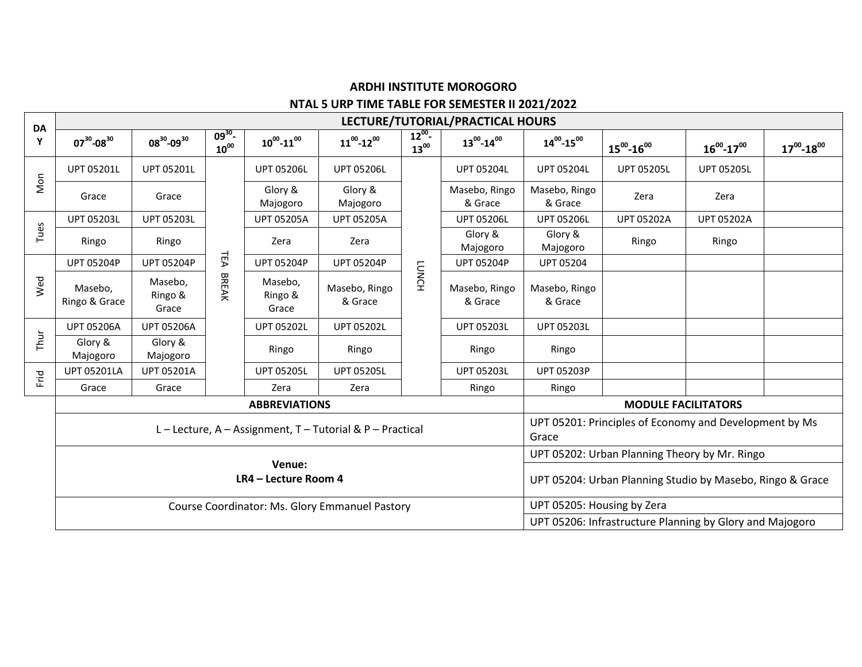## **ARDHI INSTITUTE MOROGORO NTAL 5 URP TIME TABLE FOR SEMESTER II 2021/2022**

Т

| DA<br>Y |                                                   | LECTURE/TUTORIAL/PRACTICAL HOURS |                        |                             |                                               |                        |                          |                            |                                                                 |                     |                     |  |  |
|---------|---------------------------------------------------|----------------------------------|------------------------|-----------------------------|-----------------------------------------------|------------------------|--------------------------|----------------------------|-----------------------------------------------------------------|---------------------|---------------------|--|--|
|         | $07^{30} - 08^{30}$                               | $08^{30} - 09^{30}$              | $09^{30}$<br>$10^{00}$ | $10^{00} - 11^{00}$         | $11^{00} - 12^{00}$                           | $12^{00}$<br>$13^{00}$ | $13^{00} - 14^{00}$      | $14^{00} - 15^{00}$        | $15^{00} - 16^{00}$                                             | $16^{00} - 17^{00}$ | $17^{00} - 18^{00}$ |  |  |
| Non     | <b>UPT 05201L</b>                                 | <b>UPT 05201L</b>                |                        | <b>UPT 05206L</b>           | <b>UPT 05206L</b>                             | <b>LUNCH</b>           | <b>UPT 05204L</b>        | <b>UPT 05204L</b>          | <b>UPT 05205L</b>                                               | <b>UPT 05205L</b>   |                     |  |  |
|         | Grace                                             | Grace                            |                        | Glory &<br>Majogoro         | Glory &<br>Majogoro                           |                        | Masebo, Ringo<br>& Grace | Masebo, Ringo<br>& Grace   | Zera                                                            | Zera                |                     |  |  |
| Tues    | <b>UPT 05203L</b>                                 | <b>UPT 05203L</b>                | TΕA<br><b>BREAK</b>    | <b>UPT 05205A</b>           | <b>UPT 05205A</b>                             |                        | <b>UPT 05206L</b>        | <b>UPT 05206L</b>          | <b>UPT 05202A</b>                                               | <b>UPT 05202A</b>   |                     |  |  |
|         | Ringo                                             | Ringo                            |                        | Zera                        | Zera                                          |                        | Glory &<br>Majogoro      | Glory &<br>Majogoro        | Ringo                                                           | Ringo               |                     |  |  |
| Wed     | <b>UPT 05204P</b>                                 | <b>UPT 05204P</b>                |                        | <b>UPT 05204P</b>           | <b>UPT 05204P</b>                             |                        | <b>UPT 05204P</b>        | <b>UPT 05204</b>           |                                                                 |                     |                     |  |  |
|         | Masebo,<br>Ringo & Grace                          | Masebo,<br>Ringo &<br>Grace      |                        | Masebo,<br>Ringo &<br>Grace | Masebo, Ringo<br>& Grace                      |                        | Masebo, Ringo<br>& Grace | Masebo, Ringo<br>& Grace   |                                                                 |                     |                     |  |  |
| Thur    | <b>UPT 05206A</b>                                 | <b>UPT 05206A</b>                |                        | <b>UPT 05202L</b>           | <b>UPT 05202L</b>                             |                        | <b>UPT 05203L</b>        | <b>UPT 05203L</b>          |                                                                 |                     |                     |  |  |
|         | Glory &<br>Majogoro                               | Glory &<br>Majogoro              |                        | Ringo                       | Ringo                                         |                        | Ringo                    | Ringo                      |                                                                 |                     |                     |  |  |
| Frid    | <b>UPT 05201LA</b>                                | <b>UPT 05201A</b>                |                        | <b>UPT 05205L</b>           | <b>UPT 05205L</b>                             |                        | <b>UPT 05203L</b>        | <b>UPT 05203P</b>          |                                                                 |                     |                     |  |  |
|         | Grace                                             | Grace                            |                        | Zera                        | Zera                                          |                        | Ringo                    | Ringo                      |                                                                 |                     |                     |  |  |
|         | <b>ABBREVIATIONS</b>                              |                                  |                        |                             |                                               |                        |                          |                            | <b>MODULE FACILITATORS</b>                                      |                     |                     |  |  |
|         | L-Lecture, A-Assignment, T-Tutorial & P-Practical |                                  |                        |                             |                                               |                        |                          |                            | UPT 05201: Principles of Economy and Development by Ms<br>Grace |                     |                     |  |  |
|         |                                                   |                                  |                        |                             | UPT 05202: Urban Planning Theory by Mr. Ringo |                        |                          |                            |                                                                 |                     |                     |  |  |
|         | Venue:<br>LR4 - Lecture Room 4                    |                                  |                        |                             |                                               |                        |                          |                            | UPT 05204: Urban Planning Studio by Masebo, Ringo & Grace       |                     |                     |  |  |
|         | Course Coordinator: Ms. Glory Emmanuel Pastory    |                                  |                        |                             |                                               |                        |                          | UPT 05205: Housing by Zera |                                                                 |                     |                     |  |  |
|         |                                                   |                                  |                        |                             |                                               |                        |                          |                            | UPT 05206: Infrastructure Planning by Glory and Majogoro        |                     |                     |  |  |